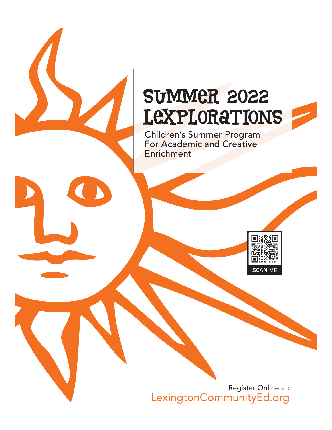# SUMMER 2022 **LEXPLORATIONS**

Children's Summer Program For Academic and Creative **Enrichment** 



Register Online at: LexingtonCommunityEd.org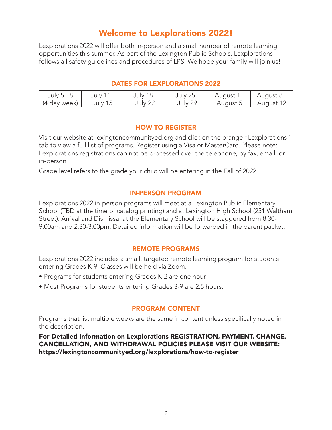## Welcome to Lexplorations 2022!

Lexplorations 2022 will offer both in-person and a small number of remote learning opportunities this summer. As part of the Lexington Public Schools, Lexplorations follows all safety guidelines and procedures of LPS. We hope your family will join us!

## DATES FOR LEXPLORATIONS 2022

| July 5 - 8   | July 11 - | July 18 - | July 25 - | - August 1 | ' August 8 - . |
|--------------|-----------|-----------|-----------|------------|----------------|
| (4 day week) | July 15   | July 22   | July 29   | August 5   | August 12      |

## HOW TO REGISTER

Visit our website at lexingtoncommunityed.org and click on the orange "Lexplorations" tab to view a full list of programs. Register using a Visa or MasterCard. Please note: Lexplorations registrations can not be processed over the telephone, by fax, email, or in-person.

Grade level refers to the grade your child will be entering in the Fall of 2022.

## IN-PERSON PROGRAM

Lexplorations 2022 in-person programs will meet at a Lexington Public Elementary School (TBD at the time of catalog printing) and at Lexington High School (251 Waltham Street). Arrival and Dismissal at the Elementary School will be staggered from 8:30- 9:00am and 2:30-3:00pm. Detailed information will be forwarded in the parent packet.

## REMOTE PROGRAMS

Lexplorations 2022 includes a small, targeted remote learning program for students entering Grades K-9. Classes will be held via Zoom.

- Programs for students entering Grades K-2 are one hour.
- Most Programs for students entering Grades 3-9 are 2.5 hours.

### PROGRAM CONTENT

Programs that list multiple weeks are the same in content unless specifically noted in the description.

For Detailed Information on Lexplorations REGISTRATION, PAYMENT, CHANGE, CANCELLATION, AND WITHDRAWAL POLICIES PLEASE VISIT OUR WEBSITE: https://lexingtoncommunityed.org/lexplorations/how-to-register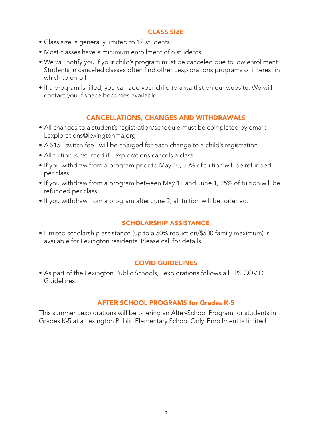## CLASS SIZE

- Class size is generally limited to 12 students.
- Most classes have a minimum enrollment of 6 students.
- We will notify you if your child's program must be canceled due to low enrollment. Students in canceled classes often find other Lexplorations programs of interest in which to enroll.
- If a program is filled, you can add your child to a waitlist on our website. We will contact you if space becomes available.

## CANCELLATIONS, CHANGES AND WITHDRAWALS

- All changes to a student's registration/schedule must be completed by email: Lexplorations@lexingtonma.org
- A \$15 "switch fee" will be charged for each change to a child's registration.
- All tuition is returned if Lexplorations cancels a class.
- If you withdraw from a program prior to May 10, 50% of tuition will be refunded per class.
- If you withdraw from a program between May 11 and June 1, 25% of tuition will be refunded per class.
- If you withdraw from a program after June 2, all tuition will be forfeited.

## SCHOLARSHIP ASSISTANCE

• Limited scholarship assistance (up to a 50% reduction/\$500 family maximum) is available for Lexington residents. Please call for details.

## COVID GUIDELINES

• As part of the Lexington Public Schools, Lexplorations follows all LPS COVID Guidelines.

## AFTER SCHOOL PROGRAMS for Grades K-5

This summer Lexplorations will be offering an After-School Program for students in Grades K-5 at a Lexington Public Elementary School Only. Enrollment is limited.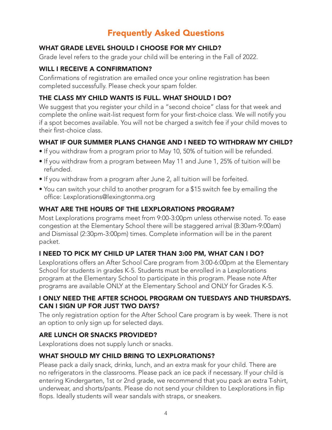## Frequently Asked Questions

## WHAT GRADE LEVEL SHOULD I CHOOSE FOR MY CHILD?

Grade level refers to the grade your child will be entering in the Fall of 2022.

## WILL I RECEIVE A CONFIRMATION?

Confirmations of registration are emailed once your online registration has been completed successfully. Please check your spam folder.

## THE CLASS MY CHILD WANTS IS FULL. WHAT SHOULD I DO?

We suggest that you register your child in a "second choice" class for that week and complete the online wait-list request form for your first-choice class. We will notify you if a spot becomes available. You will not be charged a switch fee if your child moves to their first-choice class.

## WHAT IF OUR SUMMER PLANS CHANGE AND LNEED TO WITHDRAW MY CHILD?

- If you withdraw from a program prior to May 10, 50% of tuition will be refunded.
- If you withdraw from a program between May 11 and June 1, 25% of tuition will be refunded.
- If you withdraw from a program after June 2, all tuition will be forfeited.
- You can switch your child to another program for a \$15 switch fee by emailing the office: Lexplorations@lexingtonma.org

## WHAT ARE THE HOURS OF THE LEXPLORATIONS PROGRAM?

Most Lexplorations programs meet from 9:00-3:00pm unless otherwise noted. To ease congestion at the Elementary School there will be staggered arrival (8:30am-9:00am) and Dismissal (2:30pm-3:00pm) times. Complete information will be in the parent packet.

## I NEED TO PICK MY CHILD UP LATER THAN 3:00 PM, WHAT CAN I DO?

Lexplorations offers an After School Care program from 3:00-6:00pm at the Elementary School for students in grades K-5. Students must be enrolled in a Lexplorations program at the Elementary School to participate in this program. Please note After programs are available ONLY at the Elementary School and ONLY for Grades K-5.

## I ONLY NEED THE AFTER SCHOOL PROGRAM ON TUESDAYS AND THURSDAYS. CAN I SIGN UP FOR JUST TWO DAYS?

The only registration option for the After School Care program is by week. There is not an option to only sign up for selected days.

## ARE LUNCH OR SNACKS PROVIDED?

Lexplorations does not supply lunch or snacks.

## WHAT SHOULD MY CHILD BRING TO LEXPLORATIONS?

Please pack a daily snack, drinks, lunch, and an extra mask for your child. There are no refrigerators in the classrooms. Please pack an ice pack if necessary. If your child is entering Kindergarten, 1st or 2nd grade, we recommend that you pack an extra T-shirt, underwear, and shorts/pants. Please do not send your children to Lexplorations in flip flops. Ideally students will wear sandals with straps, or sneakers.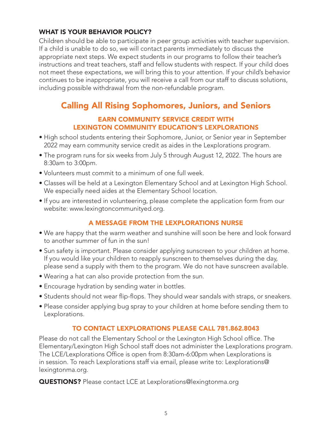## WHAT IS YOUR BEHAVIOR POLICY?

Children should be able to participate in peer group activities with teacher supervision. If a child is unable to do so, we will contact parents immediately to discuss the appropriate next steps. We expect students in our programs to follow their teacher's instructions and treat teachers, staff and fellow students with respect. If your child does not meet these expectations, we will bring this to your attention. If your child's behavior continues to be inappropriate, you will receive a call from our staff to discuss solutions, including possible withdrawal from the non-refundable program.

## Calling All Rising Sophomores, Juniors, and Seniors

## EARN COMMUNITY SERVICE CREDIT WITH LEXINGTON COMMUNITY EDUCATION'S LEXPLORATIONS

- High school students entering their Sophomore, Junior, or Senior year in September 2022 may earn community service credit as aides in the Lexplorations program.
- The program runs for six weeks from July 5 through August 12, 2022. The hours are 8:30am to 3:00pm.
- Volunteers must commit to a minimum of one full week.
- Classes will be held at a Lexington Elementary School and at Lexington High School. We especially need aides at the Elementary School location.
- If you are interested in volunteering, please complete the application form from our website: www.lexingtoncommunityed.org.

## A MESSAGE FROM THE LEXPLORATIONS NURSE

- We are happy that the warm weather and sunshine will soon be here and look forward to another summer of fun in the sun!
- Sun safety is important. Please consider applying sunscreen to your children at home. If you would like your children to reapply sunscreen to themselves during the day, please send a supply with them to the program. We do not have sunscreen available.
- Wearing a hat can also provide protection from the sun.
- Encourage hydration by sending water in bottles.
- Students should not wear flip-flops. They should wear sandals with straps, or sneakers.
- Please consider applying bug spray to your children at home before sending them to Lexplorations.

## TO CONTACT LEXPLORATIONS PLEASE CALL 781.862.8043

Please do not call the Elementary School or the Lexington High School office. The Elementary/Lexington High School staff does not administer the Lexplorations program. The LCE/Lexplorations Office is open from 8:30am-6:00pm when Lexplorations is in session. To reach Lexplorations staff via email, please write to: Lexplorations@ lexingtonma.org.

QUESTIONS? Please contact LCE at Lexplorations@lexingtonma.org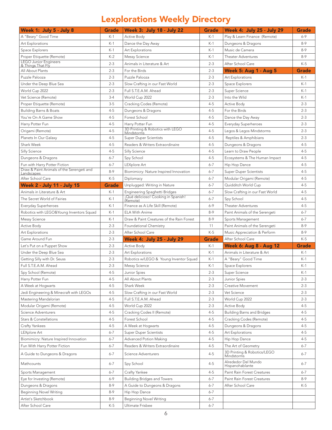## Lexplorations Weekly Directory

| Week 1: July 5 - July 8                                                    | <b>Grade</b> | <b>Week 3: July 18 - July 22</b>                | <b>Grade</b> | <b>Week 4: July 25 - July 29</b>  | <b>Grade</b> |
|----------------------------------------------------------------------------|--------------|-------------------------------------------------|--------------|-----------------------------------|--------------|
| A "Beary" Good Time                                                        | $K-1$        | Active Body                                     | $K-1$        | Play & Learn Finance (Remote)     | $6 - 9$      |
| Art Explorations                                                           | $K-1$        | Dance the Day Away                              | $K-1$        | Dungeons & Dragons                | $8-9$        |
| Space Explorers                                                            | $K-1$        | Art Explorations                                | $K-1$        | Music de Camera                   | $8-9$        |
| Proper Etiquette (Remote)                                                  | $K-2$        | <b>Messy Science</b>                            | $K-1$        | <b>Theater Adventures</b>         | $8 - 9$      |
| <b>LEGO Junior Engineers</b>                                               | $2 - 3$      | Animals in Literature & Art                     | $2 - 3$      | After School Care                 | $K-5$        |
| & Things That Fly<br>All About Plants                                      | $2 - 3$      | For the Birds                                   | $2 - 3$      | <b>Week 5: Aug 1 - Aug 5</b>      | <b>Grade</b> |
| Puzzle Palooza                                                             | $2 - 3$      | Puzzle Palooza                                  | $2 - 3$      | Art Explorations                  | $K-1$        |
| Under the Deep Blue Sea                                                    | $2 - 3$      | Slow Crafting in our Fast World                 | $2 - 3$      | Space Explorers                   | $K-1$        |
| World Cup 2022                                                             | $2 - 3$      | Full S.T.E.A.M. Ahead                           | $2 - 3$      | Super Science                     | $K-1$        |
| Vet Science (Remote)                                                       | $3-4$        | World Cup 2022                                  | $2 - 3$      | Into the Wild                     | $K-1$        |
| Proper Etiquette (Remote)                                                  | $3 - 5$      | Cracking Codes (Remote)                         | $4 - 5$      | <b>Active Body</b>                | $2 - 3$      |
| <b>Building Barns &amp; Boats</b>                                          | $4 - 5$      | Dungeons & Dragons                              | $4 - 5$      | For the Birds                     | $2 - 3$      |
| You're On A Game Show                                                      | $4 - 5$      | Forest School                                   | $4 - 5$      | Dance the Day Away                | $2 - 3$      |
| Harry Potter Fun                                                           | $4 - 5$      | Harry Potter Fun                                | $4 - 5$      | Everyday Superheroes              | $2 - 3$      |
|                                                                            |              | 3D Printing & Robotics with LEGO                |              |                                   |              |
| Origami (Remote)                                                           | $4 - 5$      | Mindstorms                                      | $4 - 5$      | Legos & Legos Mindstorms          | $2 - 3$      |
| Planets In Our Galaxy                                                      | $4 - 5$      | <b>Super Duper Scientists</b>                   | $4 - 5$      | Reptiles & Amphibians             | $2 - 3$      |
| Shark Week                                                                 | $4 - 5$      | Readers & Writers Extraordinaire                | $4 - 5$      | Dungeons & Dragons                | $4 - 5$      |
| Silly Science                                                              | $4 - 5$      | Silly Science                                   | $4 - 5$      | Learn to Draw People              | $4 - 5$      |
| Dungeons & Dragons                                                         | $6 - 7$      | Spy School                                      | $4 - 5$      | Ecosystems & The Human Impact     | $4 - 5$      |
| Fun with Harry Potter Fiction<br>Draw & Paint Animals of the Serengeti and | $6 - 7$      | LEXplore Art                                    | $6 - 7$      | Hip Hop Dance                     | $4 - 5$      |
| Landscapes                                                                 | 8-9          | Biomimicry: Nature Inspired Innovation          | $6 - 7$      | <b>Super Duper Scientists</b>     | $4 - 5$      |
| After School Care                                                          | K-5          | Diplomacy                                       | $6 - 7$      | Modular Origami (Remote)          | $4 - 5$      |
| <b>Week 2 - July 11 - July 15</b>                                          | <b>Grade</b> | Unplugged: Writing in Nature                    | $6 - 7$      | Quidditch World Cup               | $4 - 5$      |
| Animals in Literature & Art                                                | K-1          | Engineering Spaghetti Bridges                   | $6 - 7$      | Slow Crafting in our Fast World   | $4 - 5$      |
| The Secret World of Fairies                                                | $K-1$        | ¡Qué delicioso! Cooking in Spanish!<br>(Remote) | $6 - 7$      | Spy School                        | $4 - 5$      |
| Everyday Superheroes                                                       | $K-1$        | Finance as A Life Skill (Remote)                | $6 - 9$      | Theater Adventures                | $4 - 5$      |
| Robotics with LEGO&Young Inventors Squad                                   | $K-1$        | <b>ELA With Anime</b>                           | $8-9$        | Paint Animals of the Serengeti    | $6 - 7$      |
| <b>Messy Science</b>                                                       | $K-1$        | Draw & Paint Creatures of the Rain Forest       | $8 - 9$      | Sports Management                 | $6 - 7$      |
| <b>Active Body</b>                                                         | $2 - 3$      | Foundational Chemistry                          | 11           | Paint Animals of the Serengeti    | $8 - 9$      |
| Art Explorations                                                           | $2 - 3$      | After School Care                               | $K-5$        | Music Appreciation & Perform      | $8 - 9$      |
| Game Around Fun                                                            | $2 - 3$      | <b>Week 4: July 25 - July 29</b>                | <b>Grade</b> | After School Care                 | $K-5$        |
| Let's Put on a Puppet Show                                                 | $2 - 3$      | <b>Active Body</b>                              | $K-1$        | <b>Week 6: Aug 8 - Aug 12</b>     | <b>Grade</b> |
| Under the Deep Blue Sea                                                    | $2 - 3$      | Art Explorations                                | $K-1$        | Animals in Literature & Art       | $K-1$        |
| Getting Silly with Dr. Seuss                                               | $2 - 3$      | Robotics w/LEGO & Young Inventor Squad          | $K-1$        | A "Beary" Good Time               | $K-1$        |
| Full S.T.E.A.M. Ahead                                                      | $2 - 3$      | Messy Science                                   | $K-1$        | Space Explorers                   | $K-1$        |
| Spy School (Remote)                                                        | 4-5          | Junior Spies                                    | $2 - 3$      | Super Science                     | $K-1$        |
| Harry Potter Fun                                                           | $4 - 5$      | All About Plants                                | $2 - 3$      | <b>Junior Spies</b>               | 2-3          |
| A Week at Hogwarts                                                         | $4 - 5$      | Shark Week                                      | $2 - 3$      | Creative Movement                 | $2 - 3$      |
| Jedi Engineering & Minecraft with LEGOs                                    | $4 - 5$      | Slow Crafting in our Fast World                 | $2 - 3$      | Vet Science                       | $2 - 3$      |
| Mastering Mandalorian                                                      | $4 - 5$      | Full S.T.E.A.M. Ahead                           | $2 - 3$      | World Cup 2022                    | $2 - 3$      |
| Modular Origami (Remote)                                                   | $4 - 5$      | World Cup 2022                                  | $2 - 3$      | Active Body                       | $4 - 5$      |
| Science Adventurers                                                        | $4 - 5$      | Cracking Codes II (Remote)                      | $4 - 5$      | <b>Building Barns and Bridges</b> | $4 - 5$      |
| Stars & Constellations                                                     | $4 - 5$      | Forest School                                   | $4 - 5$      | Cracking Codes (Remote)           | $4 - 5$      |
| Crafty Yankees                                                             | $4 - 5$      | A Week at Hogwarts                              | $4 - 5$      | Dungeons & Dragons                | $4 - 5$      |
| LEXplore Art                                                               | $6 - 7$      | <b>Super Duper Scientists</b>                   | $4 - 5$      | Art Explorations                  | $4 - 5$      |
| Biomimicry: Nature Inspired Innovation                                     | $6 - 7$      | <b>Advanced Potion Making</b>                   | $4 - 5$      | Hip Hop Dance                     | $4 - 5$      |
| Fun With Harry Potter Fiction                                              | $6 - 7$      | Readers & Writers Extraordinaire                | $4 - 5$      | The Art of Geometry               | $6 - 7$      |
| A Guide to Dungeons & Dragons                                              | $6 - 7$      | Science Adventurers                             | $4 - 5$      | 3D Printing & Robotics/LEGO       | $6 - 7$      |
|                                                                            |              |                                                 |              | Mindstorms<br>Alrededor Del Mundo |              |
| Mathcounts                                                                 | $6 - 7$      | Spy School                                      | $4 - 5$      | Hispanohablante                   | $6 - 7$      |
| Sports Management                                                          | 6-7          | Crafty Yankee                                   | $4 - 5$      | Paint Rain Forest Creatures       | $6 - 7$      |
| Eye for Investing (Remote)                                                 | 6-9          | <b>Building Bridges and Towers</b>              | $6 - 7$      | Paint Rain Forest Creatures       | 8-9          |
| Dungeons & Dragons                                                         | 8-9          | A Guide to Dungeons & Dragons                   | $6 - 7$      | After School Care                 | K-5          |
| <b>Beginning Novel Writing</b>                                             | 8-9          | Hip Hop Dance                                   | $6 - 7$      |                                   |              |
| Artist's Sketchbook                                                        | 8-9          | <b>Beginning Novel Writing</b>                  | $6 - 7$      |                                   |              |
| After School Care                                                          | K-5          | Ultimate Frisbee                                | $6 - 7$      |                                   |              |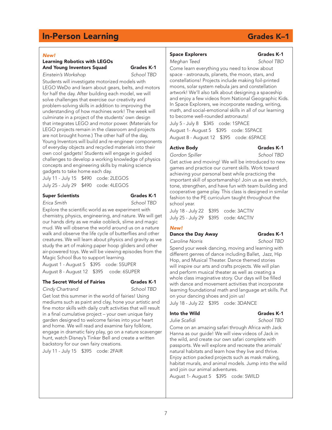#### *New!*

#### Learning Robotics with LEGOs And Young Inventors Squad Grades K-1 *Einstein's Workshop School TBD*

Students will investigate motorized models with LEGO WeDo and learn about gears, belts, and motors for half the day. After building each model, we will solve challenges that exercise our creativity and problem-solving skills in addition to improving the understanding of how machines work! The week will culminate in a project of the students' own design that integrates LEGO and motor power. (Materials for LEGO projects remain in the classroom and projects are not brought home.) The other half of the day, Young Inventors will build and re-engineer components of everyday objects and recycled materials into their own cool gadgets! Students will engage in guided challenges to develop a working knowledge of physics concepts and engineering skills by making science gadgets to take home each day.

July 11 - July 15 \$490 code: 2LEGOS July 25 - July 29 \$490 code: 4LEGOS

#### Super Scientists Grades K-1

*Erica Smith School TBD* 

Explore the scientific world as we experiment with chemistry, physics, engineering, and nature. We will get our hands dirty as we make oobleck, slime and magic mud. We will observe the world around us on a nature walk and observe the life cycle of butterflies and other creatures. We will learn about physics and gravity as we study the art of making paper hoop gliders and other air-powered toys. We will be viewing episodes from the Magic School Bus to support learning.

August 1 - August 5 \$395 code: 5SUPER August 8 - August 12 \$395 code: 6SUPER

#### The Secret World of Fairies Grades K-1

*Cindy Chartrand School TBD*

Get lost this summer in the world of fairies! Using mediums such as paint and clay, hone your artistic and fine motor skills with daily craft activities that will result in a final cumulative project – your own unique fairy garden designed to welcome fairies into your heart and home. We will read and examine fairy folklore, engage in dramatic fairy play, go on a nature scavenger hunt, watch Disney's Tinker Bell and create a written backstory for our own fairy creations.

July 11 - July 15 \$395 code: 2FAIR

### Space Explorers Grades K-1

### *Meghan Teed School TBD*

Come learn everything you need to know about space - astronauts, planets, the moon, stars, and constellations! Projects include making foil-printed moons, solar system nebula jars and constellation artwork! We'll also talk about designing a spaceship and enjoy a few videos from National Geographic Kids. In Space Explorers, we incorporate reading, writing, math, and social-emotional skills in all of our learning to become well-rounded astronauts! July 5 - July 8 \$345 code: 1SPACE August 1- August 5 \$395 code: 5SPACE

August 8 - August 12 \$395 code: 6SPACE

#### Active Body **Grades K-1**

**Gordon Spiller School TBD** 

Get active and moving! We will be introduced to new games and practice our current skills. Work toward achieving your personal best while practicing the important skill of sportsmanship! Join us as we stretch, tone, strengthen, and have fun with team building and cooperative game play. This class is designed in similar fashion to the PE curriculum taught throughout the school year.

July 18 - July 22 \$395 code: 3ACTIV July 25 - July 29 \$395 code: 4ACTIV

#### *New!*

### Dance the Day Away Grades K-1

*Caroline Norris School TBD*

Spend your week dancing, moving and learning with different genres of dance including Ballet, Jazz, Hip Hop, and Musical Theater. Dance themed stories will inspire our arts and crafts projects. We will plan and perform musical theater as well as creating a whole class imaginative story. Our days will be filled with dance and movement activities that incorporate learning foundational math and language art skills. Put on your dancing shoes and join us!

July 18 - July 22 \$395 code: 3DANCE

### Into the Wild Grades K-1

Julie Scafidi November 2016 School TBD

Come on an amazing safari through Africa with Jack Hanna as our guide! We will view videos of Jack in the wild, and create our own safari complete with passports. We will explore and recreate the animals' natural habitats and learn how they live and thrive. Enjoy action packed projects such as mask making, habitat murals, and animal models. Jump into the wild and join our animal adventures.

August 1- August 5 \$395 code: 5WILD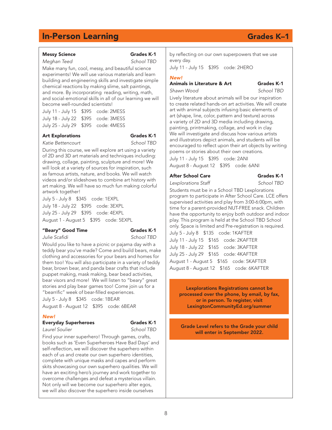Messy Science Grades K-1 *Meghan Teed School TBD* Make many fun, cool, messy, and beautiful science experiments! We will use various materials and learn building and engineering skills and investigate simple chemical reactions by making slime, salt paintings,

8

#### by reflecting on our own superpowers that we use every day.

July 11 - July 15 \$395 code: 2HERO

#### *New!*

### Animals in Literature & Art Grades K-1

*Shawn Wood School TBD*

Lively literature about animals will be our inspiration to create related hands-on art activities. We will create art with animal subjects infusing basic elements of art (shape, line, color, pattern and texture) across a variety of 2D and 3D media including drawing, painting, printmaking, collage, and work in clay. We will investigate and discuss how various artists and illustrators depict animals, and students will be encouraged to reflect upon their art objects by writing poems or stories about their own creations.

July 11 - July 15 \$395 code: 2ANI August 8 - August 12 \$395 code: 6ANI

#### After School Care Grades K-1

*Lexplorations Staff School TBD* 

Students must be in a School TBD Lexplorations program to participate in After School Care. LCE offers supervised activities and play from 3:00-6:00pm, with time for a parent-provided NUT-FREE snack. Children have the opportunity to enjoy both outdoor and indoor play. This program is held at the School TBD School only. Space is limited and Pre-registration is required. July 5 - July 8 \$135 code: 1KAFTER July 11 - July 15 \$165 code: 2KAFTER July 18 - July 22 \$165 code: 3KAFTER July 25 - July 29 \$165 code: 4KAFTER August 1 - August 5 \$165 code: 5KAFTER August 8 - August 12 \$165 code: 6KAFTER

Lexplorations Registrations cannot be processed over the phone, by email, by fax, or in person. To register, visit LexingtonCommunityEd.org/summer

Grade Level refers to the Grade your child will enter in September 2022.

#### and more. By incorporating reading, writing, math, and social-emotional skills in all of our learning we will become well-rounded scientists!

| July 11 - July 15 \$395 code: 2MESS |  |
|-------------------------------------|--|
| July 18 - July 22 \$395 code: 3MESS |  |
| July 25 - July 29 \$395 code: 4MESS |  |

### Art Explorations Grades K-1

*Katie Bettencourt School TBD*

During this course, we will explore art using a variety of 2D and 3D art materials and techniques including: drawing, collage, painting, sculpture and more! We will look at a variety of sources for inspiration, such as famous artists, nature, and books. We will watch videos and/or slideshows to combine art history with art making. We will have so much fun making colorful artwork together!

July 5 - July 8 \$345 code: 1EXPL

July 18 - July 22 \$395 code: 3EXPL July 25 - July 29 \$395 code: 4EXPL August 1 - August 5 \$395 code: 5EXPL

### "Beary" Good Time Grades K-1

Julie Scafidi North School TBD

Would you like to have a picnic or pajama day with a teddy bear you've made? Come and build bears, make clothing and accessories for your bears and homes for them too! You will also participate in a variety of teddy bear, brown bear, and panda bear crafts that include puppet making, mask making, bear bead activities, bear visors and more! We will listen to "beary" great stories and play bear games too! Come join us for a "bearrific" week of bear-filled experiences.

July 5 - July 8 \$345 code: 1BEAR August 8 - August 12 \$395 code: 6BEAR

### *New!*

### Everyday Superheroes Grades K-1

```
Laurel Soulier School TBD
```
Find your inner superhero! Through games, crafts, books such as 'Even Superheroes Have Bad Days' and self-reflection, we will discover the superhero within each of us and create our own superhero identities, complete with unique masks and capes and perform skits showcasing our own superhero qualities. We will have an exciting hero's journey and work together to overcome challenges and defeat a mysterious villain. Not only will we become our superhero alter egos, we will also discover the superhero inside ourselves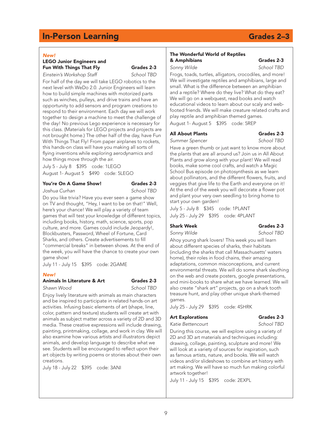#### *New!*

#### LEGO Junior Engineers and Fun With Things That Fly Grades 2-3 *Einstein's Workshop Staff School TBD*

For half of the day we will take LEGO robotics to the next level with WeDo 2.0. Junior Engineers will learn how to build simple machines with motorized parts such as winches, pulleys, and drive trains and have an opportunity to add sensors and program creations to respond to their environment. Each day we will work together to design a machine to meet the challenge of the day! No previous Lego experience is necessary for this class. (Materials for LEGO projects and projects are not brought home.) The other half of the day, have Fun With Things That Fly! From paper airplanes to rockets, this hands-on class will have you making all sorts of flying inventions while exploring aerodynamics and how things move through the air.

July 5 - July 8 \$395 code: 1LEGO August 1- August 5 \$490 code: 5LEGO

#### You're On A Game Show! Grades 2-3

#### *Joshua Curhan School TBD*

Do you like trivia? Have you ever seen a game show on TV and thought, "Hey, I want to be on that!" Well, here's your chance! We will play a variety of team games that will test your knowledge of different topics, including books, history, math, science, sports, pop culture, and more. Games could include Jeopardy!, Blockbusters, Password, Wheel of Fortune, Card Sharks, and others. Create advertisements to fill "commercial breaks" in between shows. At the end of the week, you will have the chance to create your own game show!

July 11 - July 15 \$395 code: 2GAME

#### *New!*

### Animals In Literature & Art Grades 2-3

*Shawn Wood School TBD*

Enjoy lively literature with animals as main characters and be inspired to participate in related hands-on art activities. Infusing basic elements of art (shape, line, color, pattern and texture) students will create art with animals as subject matter across a variety of 2D and 3D media. These creative expressions will include drawing, painting, printmaking, collage, and work in clay. We will also examine how various artists and illustrators depict animals, and develop language to describe what we see. Students will be encouraged to reflect upon their art objects by writing poems or stories about their own creations.

July 18 - July 22 \$395 code: 3ANI

#### The Wonderful World of Reptiles & Amphibians Grades 2-3

#### *Sonny Wilde School TBD*

Frogs, toads, turtles, alligators, crocodiles, and more! We will investigate reptiles and amphibians, large and small. What is the difference between an amphibian and a reptile? Where do they live? What do they eat? We will go on a webquest, read books and watch educational videos to learn about our scaly and webfooted friends. We will make creature related crafts and play reptile and amphibian themed games. August 1- August 5 \$395 code: 5REP

#### All About Plants Grades 2-3

*Summer Spencer School TBD* Have a green thumb or just want to know more about the plants that are all around us? Join us in All About Plants and grow along with your plant! We will read books, make some cool crafts, and watch a Magic School Bus episode on photosynthesis as we learn about pollinators, and the different flowers, fruits, and veggies that give life to the Earth and everyone on it! At the end of the week you will decorate a flower pot and plant your very own seedling to bring home to start your own garden!

July 5 - July 8 \$345 code: 1PLANT July 25 - July 29 \$395 code: 4PLANT

### Shark Week Grades 2-3

*Sonny Wilde School TBD*

Ahoy young shark lovers! This week you will learn about different species of sharks, their habitats (including the sharks that call Massachusetts' waters home), their roles in food chains, their amazing adaptations, common misconceptions, and current environmental threats. We will do some shark sleuthing on the web and create posters, google presentations, and mini-books to share what we have learned. We will also create "shark art" projects, go on a shark tooth treasure hunt, and play other unique shark-themed games.

July 25 - July 29 \$395 code: 4SHRK

#### Art Explorations Grades 2-3

*Katie Bettencourt School TBD*

During this course, we will explore using a variety of 2D and 3D art materials and techniques including: drawing, collage, painting, sculpture and more! We will look at a variety of sources for inspiration, such as famous artists, nature, and books. We will watch videos and/or slideshows to combine art history with art making. We will have so much fun making colorful artwork together!

July 11 - July 15 \$395 code: 2EXPL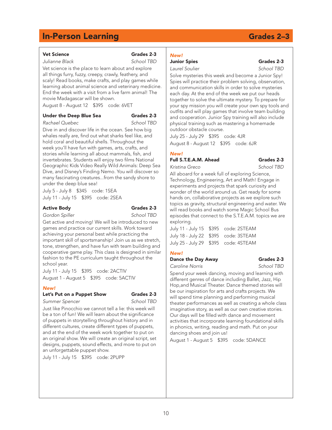#### Vet Science Grades 2-3

*Julianne Black School TBD*

Vet science is the place to learn about and explore all things furry, fuzzy, creepy, crawly, feathery, and scaly! Read books, make crafts, and play games while learning about animal science and veterinary medicine. End the week with a visit from a live farm animal! The movie Madagascar will be shown.

August 8 - August 12 \$395 code: 6VET

#### Under the Deep Blue Sea Grades 2-3

## *Rachael Quebec School TBD*

Dive in and discover life in the ocean. See how big whales really are, find out what sharks feel like, and hold coral and beautiful shells. Throughout the week you'll have fun with games, arts, crafts, and stories while learning all about mammals, fish, and invertebrates. Students will enjoy two films National Geographic Kids Video Really Wild Animals: Deep Sea Dive, and Disney's Finding Nemo. You will discover so many fascinating creatures...from the sandy shore to under the deep blue sea!

July 5 - July 8 \$345 code: 1SEA July 11 - July 15 \$395 code: 2SEA

#### Active Body **Grades 2-3**

*Gordon Spiller School TBD* 

Get active and moving! We will be introduced to new games and practice our current skills. Work toward achieving your personal best while practicing the important skill of sportsmanship! Join us as we stretch, tone, strengthen, and have fun with team building and cooperative game play. This class is designed in similar fashion to the PE curriculum taught throughout the school year.

July 11 - July 15 \$395 code: 2ACTIV August 1 - August 5 \$395 code: 5ACTIV

#### *New!*

### Let's Put on a Puppet Show Grades 2-3

*Summer Spencer School TBD* 

Just like Pinocchio we cannot tell a lie: this week will be a ton of fun! We will learn about the significance of puppets in storytelling throughout history and in different cultures, create different types of puppets, and at the end of the week work together to put on an original show. We will create an original script, set designs, puppets, sound effects, and more to put on an unforgettable puppet show.

July 11 - July 15 \$395 code: 2PUPP

#### *New!* **Junior Spies Community Community Community Community Community Community Community Community Community Community**

### *Laurel Soulier School TBD*

Solve mysteries this week and become a Junior Spy! Spies will practice their problem solving, observation, and communication skills in order to solve mysteries each day. At the end of the week we put our heads together to solve the ultimate mystery. To prepare for your spy mission you will create your own spy tools and outfits and will play games that involve team building and cooperation. Junior Spy training will also include physical training such as mastering a homemade outdoor obstacle course.

July 25 - July 29 \$395 code: 4JR August 8 - August 12 \$395 code: 6JR

### *New!*

Full S.T.E.A.M. Ahead Grades 2-3 *Kristina Greco School TBD* 

All aboard for a week full of exploring Science, Technology, Engineering, Art and Math! Engage in experiments and projects that spark curiosity and wonder of the world around us. Get ready for some hands on, collaborative projects as we explore such topics as gravity, structural engineering and water. We will read books and watch some Magic School Bus episodes that connect to the S.T.E.A.M. topics we are exploring.

| July 11 - July 15 \$395 code: 2STEAM |
|--------------------------------------|
| July 18 - July 22 \$395 code: 3STEAM |
| July 25 - July 29 \$395 code: 4STEAM |
|                                      |

### *New!*

### Dance the Day Away Grades 2-3

*Caroline Norris School TBD*

Spend your week dancing, moving and learning with different genres of dance including Ballet, Jazz, Hip Hop,and Musical Theater. Dance themed stories will be our inspiration for arts and crafts projects. We will spend time planning and performing musical theater performances as well as creating a whole class imaginative story, as well as our own creative stories. Our days will be filled with dance and movement activities that incorporate learning foundational skills in phonics, writing, reading and math. Put on your dancing shoes and join us!

August 1 - August 5 \$395 code: 5DANCE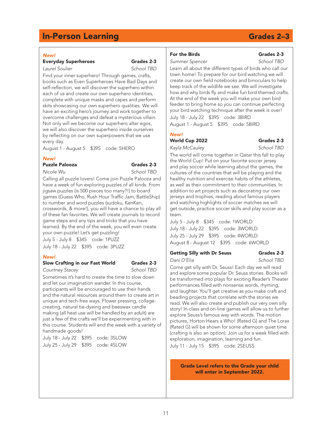#### *New!*

### Everyday Superheroes Grades 2-3

*Laurel Soulier School TBD* 

Find your inner superhero! Through games, crafts, books such as Even Superheroes Have Bad Days and self-reflection, we will discover the superhero within each of us and create our own superhero identities, complete with unique masks and capes and perform skits showcasing our own superhero qualities. We will have an exciting hero's journey and work together to overcome challenges and defeat a mysterious villain. Not only will we become our superhero alter egos, we will also discover the superhero inside ourselves by reflecting on our own superpowers that we use every day.

August 1 - August 5 \$395 code: 5HERO

#### *New!*

### Puzzle Palooza Grades 2-3

*Nicole Wu School TBD* 

Calling all puzzle lovers! Come join Puzzle Palooza and have a week of fun exploring puzzles of all kinds. From jigsaw puzzles (is 500 pieces too many?!) to board games (Guess Who, Rush Hour Traffic Jam, BattleShip) to number and word puzzles (sudoku, KenKen, crosswords, & more!), you will have a chance to play all of these fan favorites. We will create journals to record game steps and any tips and tricks that you have learned. By the end of the week, you will even create your own puzzle! Let's get puzzling!

July 5 - July 8 \$345 code: 1PUZZ July 18 - July 22 \$395 code: 3PUZZ

#### *New!*

#### Slow Crafting in our Fast World Grades 2-3

*Courtney Stacey School TBD* 

Sometimes it's hard to create the time to slow down and let our imagination wander. In this course, participants will be encouraged to use their hands and the natural resources around them to create art in unique and tech-free ways. Flower pressing, collagecreating, natural tie-dyeing and beeswax candle making (all heat use will be handled by an adult) are just a few of the crafts we'll be experimenting with in this course. Students will end the week with a variety of handmade goods!

July 18 - July 22 \$395 code: 3SLOW July 25 - July 29 \$395 code: 4SLOW

### For the Birds Grades 2-3

*Summer Spencer School TBD*

Learn all about the different types of birds who call our town home! To prepare for our bird watching we will create our own field notebooks and binoculars to help keep track of the wildlife we see. We will investigate how and why birds fly and make fun bird themed crafts. At the end of the week you will make your own bird feeder to bring home so you can continue perfecting your bird watching technique after the week is over! July 18 - July 22 \$395 code: 3BIRD

August 1 - August 5 \$395 code: 5BIRD

### *New!*

World Cup 2022 Grades 2-3

*Kayla McCauley School TBD*

The world will come together in Qatar this fall to play the World Cup! Put on your favorite soccer jersey and play soccer while learning about the games, the cultures of the countries that will be playing and the healthy nutrition and exercise habits of the athletes, as well as their commitment to their communities. In addition to art projects such as decorating our own jerseys and trophies, reading about famous players and watching highlights of soccer matches we will get outside, practice soccer skills and play soccer as a team.

July 5 - July 8 \$345 code: 1WORLD July 18 - July 22 \$395 code: 3WORLD July 25 - July 29 \$395 code: 4WORLD August 8 - August 12 \$395 code: 6WORLD

#### Getting Silly with Dr Seuss Grades 2-3

*Dani D'Elia School TBD* 

Come get silly with Dr. Seuss! Each day we will read and explore some popular Dr. Seuss stories. Books will be transformed into plays for exciting Reader's Theater performances filled with nonsense words, rhyming, and laughter. You'll get creative as you make craft and beading projects that correlate with the stories we read. We will also create and publish our very own silly story! In-class and on-line games will allow us to further explore Seuss's famous way with words. The motion pictures, Horton Hears a Who! (Rated G) and The Lorax (Rated G) will be shown for some afternoon quiet time (crafting is also an option). Join us for a week filled with exploration, imagination, learning and fun.

July 11 - July 15 \$395 code: 2SEUSS

Grade Level refers to the Grade your child will enter in September 2022.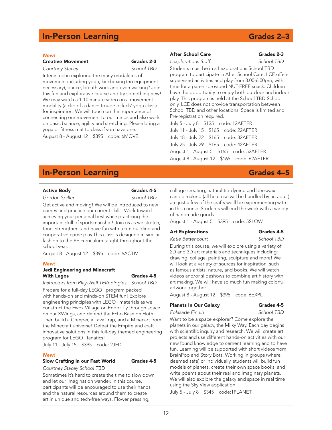#### *New!*

Creative Movement Grades 2-3

## *Courtney Stacey School TBD*

Interested in exploring the many modalities of movement including yoga, kickboxing (no equipment necessary), dance, breath work and even walking? Join this fun and explorative course and try something new! We may watch a 1-10 minute video on a movement modality (a clip of a dance troupe or kids' yoga class) for inspiration. We will touch on the importance of connecting our movement to our minds and also work on basic balance, agility and stretching. Please bring a yoga or fitness mat to class if you have one.

August 8 - August 12 \$395 code: 6MOVE

### After School Care Grades 2-3

*Lexplorations Staff School TBD* 

Students must be in a Lexplorations School TBD program to participate in After School Care. LCE offers supervised activities and play from 3:00-6:00pm, with time for a parent-provided NUT-FREE snack. Children have the opportunity to enjoy both outdoor and indoor play. This program is held at the School TBD School only. LCE does not provide transportation between School TBD and other locations. Space is limited and Pre-registration required.

July 5 - July 8 \$135 code: 12AFTER July 11 - July 15 \$165 code: 22AFTER July 18 - July 22 \$165 code: 32AFTER July 25 - July 29 \$165 code: 42AFTER August 1 - August 5 \$165 code: 52AFTER August 8 - August 12 \$165 code: 62AFTER

## **In-Person Learning Grades 4–5**

### Active Body **Grades 4-5**

*Gordon Spiller School TBD* 

Get active and moving! We will be introduced to new games and practice our current skills. Work toward achieving your personal best while practicing the important skill of sportsmanship! Join us as we stretch, tone, strengthen, and have fun with team building and cooperative game play.This class is designed in similar fashion to the PE curriculum taught throughout the school year.

August 8 - August 12 \$395 code: 6ACTIV

#### *New!*

#### Jedi Engineering and Minecraft With Legos Grades 4-5

*Instructors from Play-Well TEKnologies School TBD* Prepare for a full-day LEGO program packed with hands-on and minds-on STEM fun! Explore engineering principles with LEGO materials as we construct the Ewok Village on Endor, fly through space on our XWings, and defend the Echo Base on Hoth. Then build a Creeper, a Lava Trap, and a Minecart from the Minecraft universe! Defeat the Empire and craft innovative solutions in this full-day themed engineering program for LEGO fanatics!

July 11 - July 15 \$395 code: 2JED

#### *New!*

### Slow Crafting in our Fast World Grades 4-5

*Courtney Stacey School TBD* 

Sometimes it's hard to create the time to slow down and let our imagination wander. In this course, participants will be encouraged to use their hands and the natural resources around them to create art in unique and tech-free ways. Flower pressing,

collage-creating, natural tie-dyeing and beeswax candle making (all heat use will be handled by an adult) are just a few of the crafts we'll be experimenting with in this course. Students will end the week with a variety of handmade goods!

August 1 - August 5 \$395 code: 5SLOW

### Art Explorations Grades 4-5

*Katie Bettencourt School TBD* 

During this course, we will explore using a variety of 2D and 3D art materials and techniques including: drawing, collage, painting, sculpture and more! We will look at a variety of sources for inspiration, such as famous artists, nature, and books. We will watch videos and/or slideshows to combine art history with art making. We will have so much fun making colorful artwork together!

August 8 - August 12 \$395 code: 6EXPL

### Planets In Our Galaxy Grades 4-5

*Folasade Finnih School TBD* 

Want to be a space explorer? Come explore the planets in our galaxy, the Milky Way. Each day begins with scientific inquiry and research. We will create art projects and use different hands-on activities with our new found knowledge to cement learning and to have fun. Learning will be supported with short videos from BrainPop and Story Bots. Working in groups (where deemed safe) or individually, students will build fun models of planets, create their own space books, and write poems about their real and imaginary planets. We will also explore the galaxy and space in real time using the Sky View application.

July 5 - July 8 \$345 code:1PLANET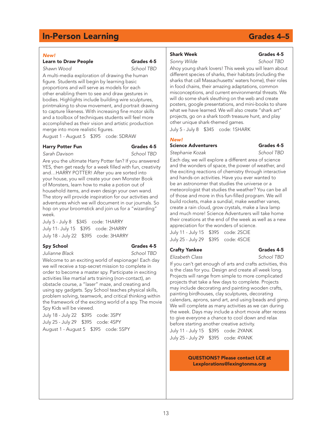#### *New!*

### Learn to Draw People **Grades 4-5**

*Shawn Wood School TBD*

A multi-media exploration of drawing the human figure. Students will begin by learning basic proportions and will serve as models for each other enabling them to see and draw gestures in bodies. Highlights include building wire sculptures, printmaking to show movement, and portrait drawing to capture likeness. With increasing fine motor skills and a toolbox of techniques students will feel more accomplished as their vision and artistic production merge into more realistic figures.

August 1 - August 5 \$395 code: 5DRAW

### Harry Potter Fun<br>
Grades 4-5

## *Sarah Davison School TBD*

Are you the ultimate Harry Potter fan? If you answered YES, then get ready for a week filled with fun, creativity and…HARRY POTTER! After you are sorted into your house, you will create your own Monster Book of Monsters, learn how to make a potion out of household items, and even design your own wand. The story will provide inspiration for our activities and adventures which we will document in our journals. So hop on your broomstick and join us for a "wizarding" week.

July 5 - July 8 \$345 code: 1HARRY July 11- July 15 \$395 code: 2HARRY July 18 - July 22 \$395 code: 3HARRY

#### Spy School Grades 4-5

*Julianne Black School TBD* 

Welcome to an exciting world of espionage! Each day we will receive a top-secret mission to complete in order to become a master spy. Participate in exciting activities like martial arts training (non-contact), an obstacle course, a "laser" maze, and creating and using spy gadgets. Spy School teaches physical skills, problem solving, teamwork, and critical thinking within the framework of the exciting world of a spy. The movie Spy Kids will be viewed.

July 18 - July 22 \$395 code: 3SPY July 25 - July 29 \$395 code: 4SPY

August 1 - August 5 \$395 code: 5SPY

## sharks that call Massachusetts' waters home), their roles

in food chains, their amazing adaptations, common misconceptions, and current environmental threats. We will do some shark sleuthing on the web and create posters, google presentations, and mini-books to share what we have learned. We will also create "shark art" projects, go on a shark tooth treasure hunt, and play other unique shark-themed games.

Shark Week Grades 4-5 *Sonny Wilde School TBD* Ahoy young shark lovers! This week you will learn about different species of sharks, their habitats (including the

July 5 - July 8 \$345 code: 1SHARK

#### *New!*

### Science Adventurers Grades 4-5

*Stephanie Kozak School TBD* 

Each day, we will explore a different area of science and the wonders of space, the power of weather, and the exciting reactions of chemistry through interactive and hands-on activities. Have you ever wanted to be an astronomer that studies the universe or a meteorologist that studies the weather? You can be all of those and more in this fun-filled program. We will build rockets, make a sundial, make weather vanes, create a rain cloud, grow crystals, make a lava lamp and much more! Science Adventurers will take home their creations at the end of the week as well as a new appreciation for the wonders of science. July 11 - July 15 \$395 code: 2SCIE

July 25 - July 29 \$395 code: 4SCIE

## Crafty Yankee Grades 4-5

*Elizabeth Class School TBD* 

If you can't get enough of arts and crafts activities, this is the class for you. Design and create all week long. Projects will range from simple to more complicated projects that take a few days to complete. Projects may include decorating and painting wooden crafts, painting birdhouses, clay sculptures, decorating calendars, aprons, sand art, and using beads and gimp. We will complete as many activities as we can during the week. Days may include a short movie after recess to give everyone a chance to cool down and relax before starting another creative activity. July 11 - July 15 \$395 code: 2YANK July 25 - July 29 \$395 code: 4YANK

#### QUESTIONS? Please contact LCE at Lexplorations@lexingtonma.org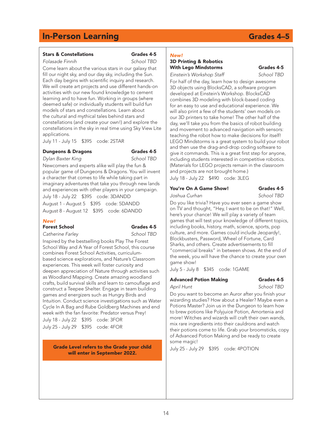#### Stars & Constellations Grades 4-5

*Folasade Finnih School TBD* 

Come learn about the various stars in our galaxy that fill our night sky, and our day sky, including the Sun. Each day begins with scientific inquiry and research. We will create art projects and use different hands-on activities with our new found knowledge to cement learning and to have fun. Working in groups (where deemed safe) or individually students will build fun models of stars and constellations. Learn about the cultural and mythical tales behind stars and constellations (and create your own!) and explore the constellations in the sky in real time using Sky View Lite applications.

July 11 - July 15 \$395 code: 2STAR

### **Dungeons & Dragons** Grades 4-5

*Dylan Baxter King School TBD* 

Newcomers and experts alike will play the fun & popular game of Dungeons & Dragons. You will invent a character that comes to life while taking part in imaginary adventures that take you through new lands and experiences with other players in your campaign. July 18 - July 22 \$395 code: 3DANDD

August 1 - August 5 \$395 code: 5DANDD August 8 - August 12 \$395 code: 6DANDD

#### *New!*

#### Forest School Grades 4-5

*Catherine Farley School TBD*

Inspired by the bestselling books Play The Forest School Way and A Year of Forest School, this course combines Forest School Activities, curriculumbased science explorations, and Nature's Classroom experiences. This week will foster curiosity and deepen appreciation of Nature through activities such as Woodland Mapping. Create amazing woodland crafts, build survival skills and learn to camouflage and construct a Teepee Shelter. Engage in team building games and energizers such as Hungry Birds and Intuition. Conduct science investigations such as Water Cycle In A Bag and Rube Goldberg Machines and end week with the fan favorite: Predator versus Prey!

July 18 - July 22 \$395 code: 3FOR July 25 - July 29 \$395 code: 4FOR

> Grade Level refers to the Grade your child will enter in September 2022.

### *New!*

### 3D Printing & Robotics With Lego Mindstorms Grades 4-5

*Einstein's Workshop Staff School TBD* 

For half of the day, learn how to design awesome 3D objects using BlocksCAD, a software program developed at Einstein's Workshop. BlocksCAD combines 3D modeling with block-based coding for an easy to use and educational experience. We will also print a few of the students' own models on our 3D printers to take home! The other half of the day, we'll take you from the basics of robot building and movement to advanced navigation with sensors: teaching the robot how to make decisions for itself! LEGO Mindstorms is a great system to build your robot and then use the drag-and-drop coding software to give it commands. This is a great first step for anyone, including students interested in competitive robotics. (Materials for LEGO projects remain in the classroom and projects are not brought home.) July 18 - July 22 \$490 code: 3LEG

#### You're On A Game Show! Grades 4-5

*Joshua Curhan School TBD*

Do you like trivia? Have you ever seen a game show on TV and thought, "Hey, I want to be on that!" Well, here's your chance! We will play a variety of team games that will test your knowledge of different topics, including books, history, math, science, sports, pop culture, and more. Games could include Jeopardy!, Blockbusters, Password, Wheel of Fortune, Card Sharks, and others. Create advertisements to fill "commercial breaks" in between shows. At the end of the week, you will have the chance to create your own game show!

July 5 - July 8 \$345 code: 1GAME

### Advanced Potion Making Grades 4-5

*April Hunt School TBD* 

Do you want to become an Auror after you finish your wizarding studies? How about a Healer? Maybe even a Potions Master? Join us in the Dungeon to learn how to brew potions like Polyjuice Potion, Amortenia and more! Witches and wizards will craft their own wands, mix rare ingredients into their cauldrons and watch their potions come to life. Grab your broomsticks, copy of Advanced Potion Making and be ready to create some magic!

July 25 - July 29 \$395 code: 4POTION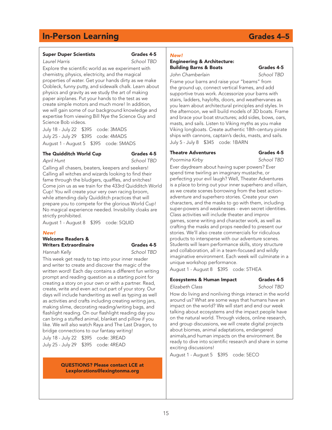#### Super Duper Scientists Grades 4-5

*Laurel Harris School TBD* 

Explore the scientific world as we experiment with chemistry, physics, electricity, and the magical properties of water. Get your hands dirty as we make Oobleck, funny putty, and sidewalk chalk. Learn about physics and gravity as we study the art of making paper airplanes. Put your hands to the test as we create simple motors and much more! In addition, we will gain some of our background knowledge and expertise from viewing Bill Nye the Science Guy and Science Bob videos.

July 18 - July 22 \$395 code: 3MADS July 25 - July 29 \$395 code: 4MADS August 1 - August 5 \$395 code: 5MADS

#### The Quidditch World Cup Grades 4-5

## *April Hunt School TBD*

Calling all chasers, beaters, keepers and seekers! Calling all witches and wizards looking to find their fame through the bludgers, quaffles, and snitches! Come join us as we train for the 433rd Quidditch World Cup! You will create your very own racing broom, while attending daily Quidditch practices that will prepare you to compete for the glorious World Cup! No magical experience needed. Invisibility cloaks are strictly prohibited.

August 1 - August 8 \$395 code: 5QUID

#### *New!*

Welcome Readers & Writers Extraordinaire **Grades 4-5** 

*Hannah Kelly School TBD* 

This week get ready to tap into your inner reader and writer to create and discover the magic of the written word! Each day contains a different fun writing prompt and reading question as a starting point for creating a story on your own or with a partner. Read, create, write and even act out part of your story. Our days will include handwriting as well as typing as well as activities and crafts including creating writing jars, making slime, decorating reading/writing bags, and flashlight reading. On our flashlight reading day you can bring a stuffed animal, blanket and pillow if you like. We will also watch Raya and The Last Dragon, to bridge connections to our fantasy writing!

July 18 - July 22 \$395 code: 3READ July 25 - July 29 \$395 code: 4READ

> QUESTIONS? Please contact LCE at Lexplorations@lexingtonma.org

#### *New!*

#### Engineering & Architecture: Building Barns & Boats Grades 4-5 *John Chamberlain School TBD*

Frame your barns and raise your "beams" from the ground up, connect vertical frames, and add supportive truss work. Accessorize your barns with stairs, ladders, haylofts, doors, and weathervanes as you learn about architectural principles and styles. In the afternoon, we will build models of 3D boats. Frame and brace your boat structures; add sides, bows, oars, masts, and sails. Listen to Viking myths as you make Viking longboats. Create authentic 18th-century pirate ships with cannons, captain's decks, masts, and sails. July 5 - July 8 \$345 code: 1BARN

### Theatre Adventures Grades 4-5

*Poormina Kirby School TBD* 

Ever daydream about having super powers? Ever spend time twirling an imaginary mustache, or perfecting your evil laugh? Well, Theater Adventures is a place to bring out your inner superhero and villain, as we create scenes borrowing from the best actionadventure and superhero stories. Create your own characters, and the masks to go with them, including super-powers and weaknesses - even secret identities. Class activities will include theater and improv games, scene writing and character work, as well as crafting the masks and props needed to present our stories. We'll also create commercials for ridiculous products to intersperse with our adventure scenes. Students will learn performance skills, story structure and collaboration, all in a team-focused and wildly imaginative environment. Each week will culminate in a unique workshop performance.

August 1 - August 8 \$395 code: 5THEA

### Ecosystems & Human Impact Grades 4-5

*Elizabeth Class School TBD* 

How do living and nonliving things interact in the world around us? What are some ways that humans have an impact on the world? We will start and end our week talking about ecosystems and the impact people have on the natural world. Through videos, online research, and group discussions, we will create digital projects about biomes, animal adaptations, endangered animals,and human impacts on the environment. Be ready to dive into scientific research and share in some exciting discussions!

August 1 - August 5 \$395 code: 5ECO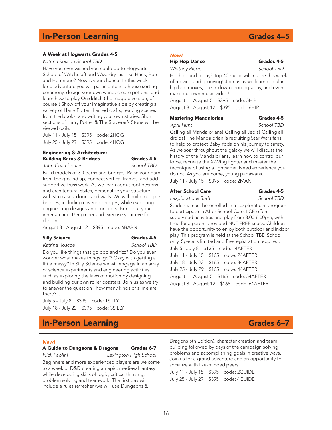### A Week at Hogwarts Grades 4-5

*Katrina Roscoe School TBD*

Have you ever wished you could go to Hogwarts School of Witchcraft and Wizardry just like Harry, Ron and Hermione? Now is your chance! In this weeklong adventure you will participate in a house sorting ceremony, design your own wand, create potions, and learn how to play Quidditch (the muggle version, of course!) Show off your imaginative side by creating a variety of Harry Potter themed crafts, reading scenes from the books, and writing your own stories. Short sections of Harry Potter & The Sorcerer's Stone will be viewed daily.

July 11 - July 15 \$395 code: 2HOG July 25 - July 29 \$395 code: 4HOG

#### Engineering & Architecture: Building Barns & Bridges Grades 4-5

*John Chamberlain School TBD* 

Build models of 3D barns and bridges. Raise your barn from the ground up, connect vertical frames, and add supportive truss work. As we learn about roof designs and architectural styles, personalize your structure with staircases, doors, and walls. We will build multiple bridges, including covered bridges, while exploring engineering designs and concepts. Bring out your inner architect/engineer and exercise your eye for design!

August 8 - August 12 \$395 code: 6BARN

#### Silly Science Grades 4-5

*Katrina Roscoe School TBD*

Do you like things that go pop and fizz? Do you ever wonder what makes things 'go'? Okay with getting a little messy? In Silly Science we will engage in an array of science experiments and engineering activities, such as exploring the laws of motion by designing and building our own roller coasters. Join us as we try to answer the question "how many kinds of slime are there?".

July 5 - July 8 \$395 code: 1SILLY July 18 - July 22 \$395 code: 3SILLY

## **In-Person Learning Grades 6–7**

#### *New!*

A Guide to Dungeons & Dragons Grades 6-7

*Nick Paolini Lexington High School*  Beginners and more experienced players are welcome to a week of D&D creating an epic, medieval fantasy while developing skills of logic, critical thinking, problem solving and teamwork. The first day will include a rules refresher (we will use Dungeons &

## *New!*

*Whitney Pierre School TBD* 

Hip hop and today's top 40 music will inspire this week of moving and grooving! Join us as we learn popular hip hop moves, break down choreography, and even make our own music video!

August 1 - August 5 \$395 code: 5HIP August 8 - August 12 \$395 code: 6HIP

#### Mastering Mandalorian Grades 4-5

*April Hunt School TBD*

Calling all Mandalorians! Calling all Jedis! Calling all droids! The Mandalorian is recruiting Star Wars fans to help to protect Baby Yoda on his journey to safety. As we soar throughout the galaxy we will discuss the history of the Mandalorians, learn how to control our force, recreate the X-Wing fighter and master the technique of using a lightsaber. Need experience you do not. As you are come, young padawans.

July 11 - July 15 \$395 code: 2MAN

### After School Care Grades 4-5

*Lexplorations Staff School TBD* 

Students must be enrolled in a Lexplorations program to participate in After School Care. LCE offers supervised activities and play from 3:00-6:00pm, with time for a parent-provided NUT-FREE snack. Children have the opportunity to enjoy both outdoor and indoor play. This program is held at the School TBD School only. Space is limited and Pre-registration required. July 5 - July 8 \$135 code: 14AFTER July 11 - July 15 \$165 code: 24AFTER July 18 - July 22 \$165 code: 34AFTER July 25 - July 29 \$165 code: 44AFTER August 1 - August 5 \$165 code: 54AFTER August 8 - August 12 \$165 code: 64AFTER

Dragons 5th Edition), character creation and team building followed by days of the campaign solving problems and accomplishing goals in creative ways. Join us for a grand adventure and an opportunity to socialize with like-minded peers.

July 11 - July 15 \$395 code: 2GUIDE July 25 - July 29 \$395 code: 4GUIDE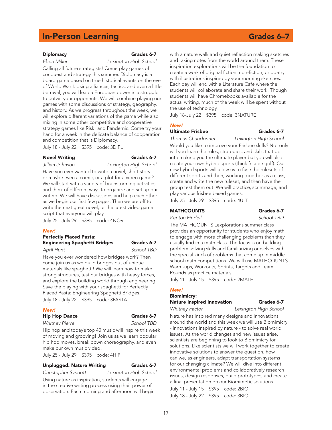#### Diplomacy Grades 6-7

*Eben Miller Lexington High School* Calling all future strategists! Come play games of conquest and strategy this summer. Diplomacy is a board game based on true historical events on the eve of World War I. Using alliances, tactics, and even a little betrayal, you will lead a European power in a struggle to outwit your opponents. We will combine playing our games with some discussions of strategy, geography, and history. As we progress throughout the week, we will explore different variations of the game while also mixing in some other competitive and cooperative strategy games like Risk! and Pandemic. Come try your hand for a week in the delicate balance of cooperation and competition that is Diplomacy.

July 18 - July 22 \$395 code: 3DIPL

#### Novel Writing **Grades 6-7**

*Jillian Johnson Lexington High School*

Have you ever wanted to write a novel, short story or maybe even a comic, or a plot for a video game? We will start with a variety of brainstorming activities and think of different ways to organize and set up our writing. We will have discussions and help each other as we begin our first few pages. Then we are off to write the next great novel, or the latest video game script that everyone will play.

July 25 - July 29 \$395 code: 4NOV

#### *New!*

### Perfectly Placed Pasta: Engineering Spaghetti Bridges Grades 6-7

*April Hunt School TBD* 

Have you ever wondered how bridges work? Then come join us as we build bridges out of unique materials like spaghetti! We will learn how to make strong structures, test our bridges with heavy forces, and explore the building world through engineering. Save the playing with your spaghetti for Perfectly Placed Pasta: Engineering Spaghetti Bridges. July 18 - July 22 \$395 code: 3PASTA

#### *New!*

#### Hip Hop Dance Grades 6-7

*Whitney Pierre School TBD* 

Hip hop and today's top 40 music will inspire this week of moving and grooving! Join us as we learn popular hip hop moves, break down choreography, and even make our own music video!

July 25 - July 29 \$395 code: 4HIP

#### Unplugged: Nature Writing Grades 6-7

*Christopher Synnott Lexington High School*  Using nature as inspiration, students will engage in the creative writing process using their power of observation. Each morning and afternoon will begin

with a nature walk and quiet reflection making sketches and taking notes from the world around them. These inspiration explorations will be the foundation to create a work of original fiction, non-fiction, or poetry with illustrations inspired by your morning sketches. Each day will end with a Literature Cafe where the students will collaborate and share their work. Though students will have Chromebooks available for the actual writing, much of the week will be spent without the use of technology.

July 18-July 22 \$395 code: 3NATURE

### *New!*

### Ultimate Frisbee Grades 6-7

*Thomas Chandonnet Lexington High School* Would you like to improve your Frisbee skills? Not only will you learn the rules, strategies, and skills that go into making you the ultimate player but you will also create your own hybrid sports (think frisbee golf). Our new hybrid sports will allow us to fuse the rulesets of different sports and then, working together as a class, create and write the new ruleset, and then have the group test them out. We will practice, scrimmage, and play various frisbee based games.

July 25 - July 29 \$395 code: 4ULT

#### MATHCOUNTS Grades 6-7

*Kenton Findell School TBD* 

The MATHCOUNTS Lexplorations summer class provides an opportunity for students who enjoy math to engage with more challenging problems than they usually find in a math class. The focus is on building problem solving skills and familiarizing ourselves with the special kinds of problems that come up in middle school math competitions. We will use MATHCOUNTS Warm-ups, Workouts, Sprints, Targets and Team Rounds as practice materials.

July 11 - July 15 \$395 code: 2MATH

### *New!*

### Biomimicry: Nature Inspired Innovation Grades 6-7

*Whitney Factor Lexington High School*

Nature has inspired many designs and innovations around the world and this week we will use Biomimicry - innovations inspired by nature - to solve real world issues. As the world changes and new issues arise, scientists are beginning to look to Biomimicry for solutions. Like scientists we will work together to create innovative solutions to answer the question, how can we, as engineers, adapt transportation systems for our changing climate? We will dive into different environmental problems and collaboratively research issues, design responses, build prototypes, and create a final presentation on our Biomimetic solutions. July 11 - July 15 \$395 code: 2BIO

July 18 - July 22 \$395 code: 3BIO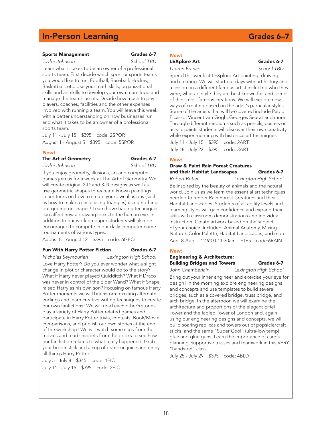#### Sports Management Grades 6-7

*Taylor Johnson School TBD* 

Learn what it takes to be an owner of a professional sports team. First decide which sport or sports teams you would like to run, Football, Baseball, Hockey, Basketball, etc. Use your math skills, organizational skills and art skills to develop your own team logo and manage the team's assets. Decide how much to pay players, coaches, facilities and the other expenses involved with running a team. You will leave this week with a better understanding on how businesses run and what it takes to be an owner of a professional sports team.

July 11 - July 15 \$395 code: 2SPOR

August 1 - August 5 \$395 code: 5SPOR

#### *New!*

The Art of Geometry Grades 6-7

*Taylor Johnson School TBD* 

If you enjoy geometry, illusions, art and computer games join us for a week at The Art of Geometry. We will create original 2-D and 3-D designs as well as use geometric shapes to recreate known paintings. Learn tricks on how to create your own illusions (such as how to make a circle using triangles) using nothing but geometric shapes! Learn how shading techniques can affect how a drawing looks to the human eye. In addition to our work on paper students will also be encouraged to compete in our daily computer game tournaments of various types.

August 8 - August 12 \$395 code: 6GEO

#### Fun With Harry Potter Fiction Grades 6-7

*Nicholas Seymourian Lexington High School* Love Harry Potter? Do you ever wonder what a slight change in plot or character would do to the story? What if Harry never played Quidditch? What if Draco was never in control of the Elder Wand? What if Snape raised Harry as his own son? Focusing on famous Harry Potter moments we will brainstorm exciting alternate endings and learn creative writing techniques to create our own fanfictions! We will read each other's stories, play a variety of Harry Potter related games and participate in Harry Potter trivia, contests, Book/Movie comparisons, and publish our own stories at the end of the workshop! We will watch some clips from the movies and read snippets from the books to see how our fan fiction relates to what really happened. Grab your broomstick and a cup of pumpkin juice and enjoy all things Harry Potter!

July 5 - July 8 \$345 code: 1FIC July 11 - July 15 \$395 code: 2FIC

#### *New!* LEXplore Art Grades 6-7 *Lauren Franco School TBD*

Spend this week at LEXplore Art painting, drawing, and creating. We will start our days with art history and a lesson on a different famous artist including who they were, what art style they are best known for, and some of their most famous creations. We will explore new ways of creating based on the artist's particular styles. Some of the artists that will be covered include Pablo Picasso, Vincent van Gogh, Georges Seurat and more. Through different mediums such as pencils, pastels or acrylic paints students will discover their own creativity while experimenting with historical art techniques.

July 11 - July 15 \$395 code: 2ART July 18 - July 22 \$395 code: 3ART

#### *New!*

#### Draw & Paint Rain Forest Creatures and their Habitat Landscapes Grades 6-7

*Robert Butler Lexington High School*  Be inspired by the beauty of animals and the natural world. Join us as we learn the essential art techniques needed to render Rain Forest Creatures and their Habitat Landscapes. Students of all ability levels and learning styles will gain confidence and expand their skills with classroom demonstrations and individual instruction. Create artwork based on the subject of your choice. Included: Animal Anatomy, Mixing Nature's Color Palette, Habitat Landscapes, and more. Aug. 8-Aug. 12 9:00-11:30am \$165 code:6RAIN

### *New!*

### Engineering & Architecture: Building Bridges and Towers Grades 6-7

*John Chamberlain Lexington High School* 

Bring out your inner engineer and exercise your eye for design! In the morning explore engineering designs and concepts and use templates to build several bridges, such as a covered bridge, truss bridge, and arch bridge. In the afternoon we will examine the architecture and proportions of the elegant Eiffel Tower and the fabled Tower of London and, again using our engineering designs and concepts, we will build soaring replicas and towers out of popsicle/craft sticks, and the same "Super Cool" (ultra-low temp) glue and glue guns. Learn the importance of careful planning, supportive trusses and teamwork in this VERY "hands-on" class.

July 25 - July 29 \$395 code: 4BLD

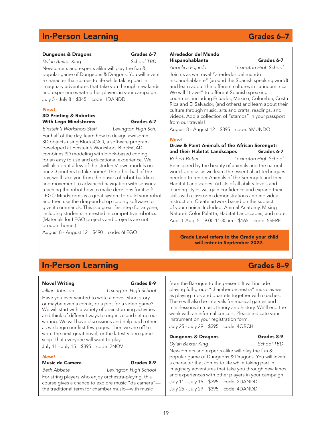### Dungeons & Dragons Grades 6-7

*Dylan Baxter King School TBD*  Newcomers and experts alike will play the fun & popular game of Dungeons & Dragons. You will invent a character that comes to life while taking part in imaginary adventures that take you through new lands and experiences with other players in your campaign. July 5 - July 8 \$345 code: 1DANDD

#### *New!*

#### 3D Printing & Robotics With Lego Mindstorms Grades 6-7

*Einstein's Workshop Staff Lexington High Sch.* 

For half of the day, learn how to design awesome 3D objects using BlocksCAD, a software program developed at Einstein's Workshop. BlocksCAD combines 3D modeling with block-based coding for an easy to use and educational experience. We will also print a few of the students' own models on our 3D printers to take home! The other half of the day, we'll take you from the basics of robot building and movement to advanced navigation with sensors: teaching the robot how to make decisions for itself! LEGO Mindstorms is a great system to build your robot and then use the drag-and-drop coding software to give it commands. This is a great first step for anyone, including students interested in competitive robotics. (Materials for LEGO projects and projects are not brought home.)

August 8 - August 12 \$490 code: 6LEGO

#### Alrededor del Mundo Hispanohablante Grades 6-7

#### *Angelica Fajardo Lexington High School*

Join us as we travel "alrededor del mundo hispanohablante" (around the Spanish speaking world) and learn about the different cultures in Latinoam rica. We will "travel" to different Spanish speaking countries, including Ecuador, Mexico, Colombia, Costa Rica and El Salvador, (and others) and learn about their culture through music, arts and crafts, readings, and videos. Add a collection of "stamps" in your passport from our travels!

August 8 - August 12 \$395 code: 6MUNDO

#### *New!*

#### Draw & Paint Animals of the African Serengeti and their Habitat Landscapes Grades 6-7

*Robert Butler Lexington High School*  Be inspired by the beauty of animals and the natural world. Join us as we learn the essential art techniques needed to render Animals of the Serengeti and their Habitat Landscapes. Artists of all ability levels and learning styles will gain confidence and expand their skills with classroom demonstrations and individual instruction. Create artwork based on the subject of your choice. Included: Animal Anatomy, Mixing Nature's Color Palette, Habitat Landscapes, and more. Aug. 1-Aug. 5 9:00-11:30am \$165 code: 5SERE

Grade Level refers to the Grade your child will enter in September 2022.

## **In-Person Learning Grades 8–9**

#### Novel Writing **Grades** 8-9

*Jillian Johnson Lexington High School* 

Have you ever wanted to write a novel, short story or maybe even a comic, or a plot for a video game? We will start with a variety of brainstorming activities and think of different ways to organize and set up our writing. We will have discussions and help each other as we begin our first few pages. Then we are off to write the next great novel, or the latest video game script that everyone will want to play. July 11 - July 15 \$395 code: 2NOV

### *New!*

### Music da Camera Grades 8-9

*Beth Abbate Lexington High School* 

For string players who enjoy orchestra-playing, this course gives a chance to explore music "da camera" the traditional term for chamber music—with music

from the Baroque to the present. It will include playing full-group "chamber orchestra" music as well as playing trios and quartets together with coaches. There will also be intervals for musical games and mini-lessons in music theory and history. We'll end the week with an informal concert. Please indicate your instrument on your registration form.

July 25 - July 29 \$395 code: 4ORCH

#### Dungeons & Dragons Grades 8-9

## *Dylan Baxter King School TBD*

Newcomers and experts alike will play the fun & popular game of Dungeons & Dragons. You will invent a character that comes to life while taking part in imaginary adventures that take you through new lands and experiences with other players in your campaign. July 11 - July 15 \$395 code: 2DANDD July 25 - July 29 \$395 code: 4DANDD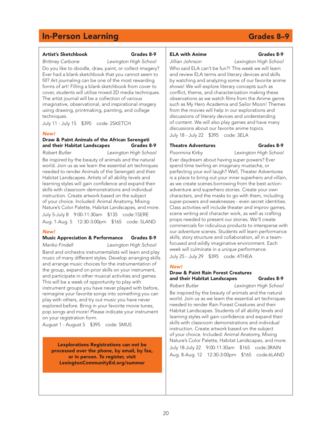## Artist's Sketchbook Grades 8-9

*Brittney Carbone Lexington High School* 

Do you like to doodle, draw, paint, or collect imagery? Ever had a blank sketchbook that you cannot seem to fill? Art journaling can be one of the most rewarding forms of art! Filling a blank sketchbook from cover to cover, students will utilize mixed 2D media techniques. The artist journal will be a collection of various imaginative, observational, and inspirational imagery using drawing, printmaking, painting, and collage techniques.

July 11 - July 15 \$395 code: 2SKETCH

#### *New!*

#### Draw & Paint Animals of the African Serengeti and their Habitat Landscapes Grades 8-9

*Robert Butler Lexington High School*  Be inspired by the beauty of animals and the natural world. Join us as we learn the essential art techniques needed to render Animals of the Serengeti and their Habitat Landscapes. Artists of all ability levels and learning styles will gain confidence and expand their skills with classroom demonstrations and individual instruction. Create artwork based on the subject of your choice. Included: Animal Anatomy, Mixing Nature's Color Palette, Habitat Landscapes, and more. July 5-July 8 9:00-11:30am \$135 code:1SERE Aug. 1-Aug. 5 12:30-3:00pm \$165 code: 5LAND

#### *New!*

#### Music Appreciation & Performance Grades 8-9

*Mariko Findell Lexington High School*  Band and orchestra instrumentalists will learn and play music of many different styles. Develop arranging skills and arrange music choices for the instrumentation of the group, expand on prior skills on your instrument, and participate in other musical activities and games. This will be a week of opportunity to play with instrument groups you have never played with before, reimagine your favorite songs into something you can play with others, and try out music you have never explored before. Bring in your favorite movie tunes, pop songs and more! Please indicate your instrument on your registration form.

August 1 - August 5 \$395 code: 5MUS

Lexplorations Registrations can not be processed over the phone, by email, by fax, or in person. To register, visit LexingtonCommunityEd.org/summer

### ELA with Anime Grades 8-9

#### *Jillian Johnson Lexington High School*

Who said ELA can't be fun?! This week we will learn and review ELA terms and literary devices and skills by watching and analyzing some of our favorite anime shows! We will explore literary concepts such as conflict, theme, and characterization making these observations as we watch films from the Anime genre such as My Hero Academia and Sailor Moon! Themes from the movies will help in our explorations and discussions of literary devices and understanding of content. We will also play games and have many discussions about our favorite anime topics. July 18 - July 22 \$395 code: 3ELA

#### Theatre Adventures Grades 8-9

*Poormina Kirby Lexington High School* 

Ever daydream about having super powers? Ever spend time twirling an imaginary mustache, or perfecting your evil laugh? Well, Theater Adventures is a place to bring out your inner superhero and villain, as we create scenes borrowing from the best actionadventure and superhero stories. Create your own characters, and the masks to go with them, including super-powers and weaknesses - even secret identities. Class activities will include theater and improv games, scene writing and character work, as well as crafting props needed to present our stories. We'll create commercials for ridiculous products to intersperse with our adventure scenes. Students will learn performance skills, story structure and collaboration, all in a teamfocused and wildly imaginative environment. Each week will culminate in a unique performance. July 25 - July 29 \$395 code: 4THEA

#### *New!*

#### Draw & Paint Rain Forest Creatures and their Habitat Landscapes Grades 8-9

*Robert Butler Lexington High School*  Be inspired by the beauty of animals and the natural world. Join us as we learn the essential art techniques needed to render Rain Forest Creatures and their Habitat Landscapes. Students of all ability levels and learning styles will gain confidence and expand their skills with classroom demonstrations and individual instruction. Create artwork based on the subject of your choice. Included: Animal Anatomy, Mixing Nature's Color Palette, Habitat Landscapes, and more. July 18-July 22 9:00-11:30am \$165 code:3RAIN Aug. 8-Aug. 12 12:30-3:00pm \$165 code:6LAND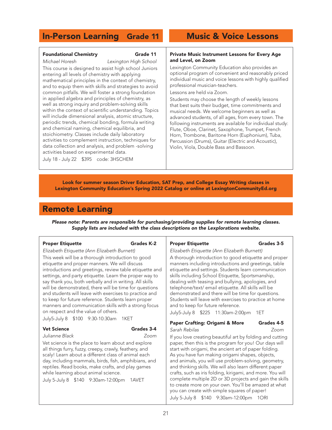## In-Person Learning Grade 11 Music & Voice Lessons

### Foundational Chemistry **Grade 11**

*Michael Horesh Lexington High School* 

This course is designed to assist high school Juniors entering all levels of chemistry with applying mathematical principles in the context of chemistry, and to equip them with skills and strategies to avoid common pitfalls. We will foster a strong foundation in applied algebra and principles of chemistry, as well as strong inquiry and problem-solving skills within the context of scientific understanding. Topics will include dimensional analysis, atomic structure, periodic trends, chemical bonding, formula writing and chemical naming, chemical equilibria, and stoichiometry. Classes include daily laboratory activities to complement instruction, techniques for data collection and analysis, and problem -solving activities based on experimental data.

July 18 - July 22 \$395 code: 3HSCHEM

#### Private Music Instrument Lessons for Every Age and Level, on Zoom

Lexington Community Education also provides an optional program of convenient and reasonably priced individual music and voice lessons with highly qualified professional musician-teachers.

Lessons are held via Zoom.

Students may choose the length of weekly lessons that best suits their budget, time commitments and musical needs. We welcome beginners as well as advanced students, of all ages, from every town. The following instruments are available for individual study: Flute, Oboe, Clarinet, Saxophone, Trumpet, French Horn, Trombone, Baritone Horn (Euphonium), Tuba, Percussion (Drums), Guitar (Electric and Acoustic), Violin, Viola, Double Bass and Bassoon.

Look for summer season Driver Education, SAT Prep, and College Essay Writing classes in Lexington Community Education's Spring 2022 Catalog or online at LexingtonCommunityEd.org

## Remote Learning

*Please note: Parents are responsible for purchasing/providing supplies for remote learning classes. Supply lists are included with the class descriptions on the Lexplorations website.* 

#### Proper Etiquette Grades K-2

*Elizabeth Etiquette (Ann Elizabeth Burnett)*  This week will be a thorough introduction to good etiquette and proper manners. We will discuss introductions and greetings, review table etiquette and settings, and party etiquette. Learn the proper way to say thank you, both verbally and in writing. All skills will be demonstrated, there will be time for questions and students will leave with exercises to practice and to keep for future reference. Students learn proper manners and communication skills with a strong focus on respect and the value of others.

July5-July 8 \$100 9:30-10:30am 1KET

#### Vet Science Grades 3-4

Vet science is the place to learn about and explore all things furry, fuzzy, creepy, crawly, feathery, and scaly! Learn about a different class of animal each day, including mammals, birds, fish, amphibians, and reptiles. Read books, make crafts, and play games while learning about animal science.

*Julianne Black Zoom* 

July 5-July 8 \$140 9:30am-12:00pm 1AVET

Proper Etiquette Grades 3-5

*Elizabeth Etiquette (Ann Elizabeth Burnett)* 

A thorough introduction to good etiquette and proper manners including introductions and greetings, table etiquette and settings. Students learn communication skills including School Etiquette, Sportsmanship, dealing with teasing and bullying, apologies, and telephone/text/ email etiquette. All skills will be demonstrated and there will be time for questions. Students will leave with exercises to practice at home and to keep for future reference.

July5-July 8 \$225 11:30am-2:00pm 1ET

### Paper Crafting: Origami & More Grades 4-5 *Sarah Rebilas Zoom*

If you love creating beautiful art by folding and cutting paper, then this is the program for you! Our days will start with origami, the ancient art of paper folding. As you have fun making origami shapes, objects, and animals, you will use problem-solving, geometry, and thinking skills. We will also learn different paper crafts, such as iris folding, kirigami, and more. You will complete multiple 2D or 3D projects and gain the skills to create more on your own. You'll be amazed at what you can create with simple squares of paper! July 5-July 8 \$140 9:30am-12:00pm 1ORI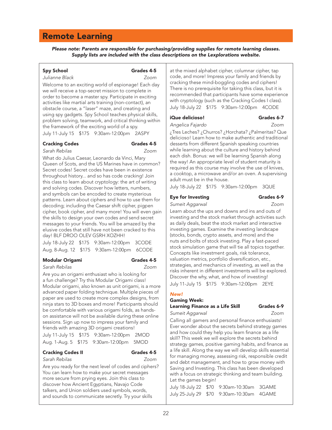## Remote Learning

*Please note: Parents are responsible for purchasing/providing supplies for remote learning classes. Supply lists are included with the class descriptions on the Lexplorations website.* 

### Spy School Grades 4-5

*Julianne Black Zoom* 

Welcome to an exciting world of espionage! Each day we will receive a top-secret mission to complete in order to become a master spy. Participate in exciting activities like martial arts training (non-contact), an obstacle course, a "laser" maze, and creating and using spy gadgets. Spy School teaches physical skills, problem solving, teamwork, and critical thinking within the framework of the exciting world of a spy. July 11-July 15 \$175 9:30am-12:00pm 2ASPY

*Sarah Rebilas Zoom* 

### Cracking Codes Grades 4-5

What do Julius Caesar, Leonardo da Vinci, Mary Queen of Scots, and the US Marines have in common? Secret codes! Secret codes have been in existence throughout history... and so has code cracking! Join this class to learn about cryptology: the art of writing and solving codes. Discover how letters, numbers, and symbols can be encoded to create mysterious patterns. Learn about ciphers and how to use them for decoding; including the Caesar shift cipher, pigpen cipher, book cipher, and many more! You will even gain the skills to design your own codes and send secret messages to your friends. You will be amazed by the elusive codes that still have not been cracked to this day! BLF DROO OLEV GSRH XOZHH!

|  | July 18-July 22 \$175 9:30am-12:00pm 3CODE |  |
|--|--------------------------------------------|--|
|  | Aug. 8-Aug. 12 \$175 9:30am-12:00pm 6CODE  |  |

#### Modular Origami Grades 4-5

*Sarah Rebilas Zoom* 

Are you an origami enthusiast who is looking for a fun challenge? Try this Modular Origami class! Modular origami, also known as unit origami, is a more advanced paper folding technique. Multiple pieces of paper are used to create more complex designs, from ninja stars to 3D boxes and more! Participants should be comfortable with various origami folds, as handson assistance will not be available during these online sessions. Sign up now to impress your family and friends with amazing 3D origami creations!

July 11-July 15 \$175 9:30am-12:00pm 2MOD Aug. 1-Aug. 5 \$175 9:30am-12:00pm 5MOD

#### Cracking Codes II Grades 4-5

## *Sarah Rebilas Zoom*

Are you ready for the next level of codes and ciphers? You can learn how to make your secret messages more secure from prying eyes. Join this class to discover how Ancient Egyptians, Navajo Code talkers, and Union soldiers used symbols, words, and sounds to communicate secretly. Try your skills

at the mixed alphabet cipher, columnar cipher, tap code, and more! Impress your family and friends by cracking these mind-boggling codes and ciphers! There is no prerequisite for taking this class, but it is recommended that participants have some experience with cryptology (such as the Cracking Codes I class). July 18-July 22 \$175 9:30am-12:00pm 4CODE

#### iQue delicioso! Grades 6-7

*Angelica Fajardo Zoom* ¿Tres Leches? ¿Churros? ¿Horchata? ¿Palmeritas? Que delicioso! Learn how to make authentic and traditional desserts from different Spanish speaking countries while learning about the culture and history behind each dish. Bonus: we will be learning Spanish along the way! An appropriate level of student maturity is required as this course may involve the use of knives, a cooktop, a microwave and/or an oven. A supervising adult must be in the house.

July 18-July 22 \$175 9:30am-12:00pm 3QUE

### Eye for Investing Grades 6-9

*Sumeit Aggarwal Zoom*  Learn about the ups and downs and ins and outs of investing and the stock market through activities such as daily deals, beat the stock market and interactive investing games. Examine the investing landscape (stocks, bonds, crypto assets, and more) and the nuts and bolts of stock investing. Play a fast-paced stock simulation game that will tie all topics together. Concepts like investment goals, risk tolerance, valuation metrics, portfolio diversification, etc., strategies, and mechanics of investing, as well as the risks inherent in different investments will be explored. Discover the why, what, and how of investing! July 11-July 15 \$175 9:30am-12:00pm 2EYE

### *New!*

#### Gaming Week: Learning Finance as a Life Skill Grades 6-9

*Sumeit Aggarwal Zoom* 

Calling all gamers and personal finance enthusiasts! Ever wonder about the secrets behind strategy games and how could they help you learn finance as a life skill? This week we will explore the secrets behind strategy games, positive gaming habits, and finance as a life skill. Along the way we will develop skills essential for managing money, assessing risk, responsible credit and debt management, and how to grow money with Saving and Investing. This class has been developed with a focus on strategic thinking and team building. Let the games begin!

July 18-July 22 \$70 9:30am-10:30am 3GAME July 25-July 29 \$70 9:30am-10:30am 4GAME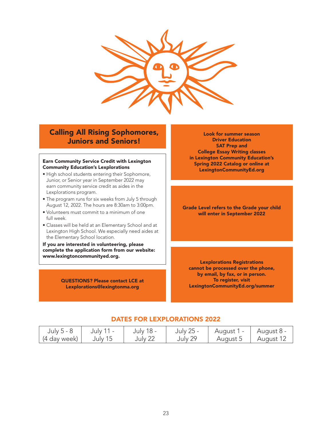

## Calling All Rising Sophomores, Juniors and Seniors!

#### Earn Community Service Credit with Lexington Community Education's Lexplorations

- High school students entering their Sophomore, Junior, or Senior year in September 2022 may earn community service credit as aides in the Lexplorations program.
- The program runs for six weeks from July 5 through August 12, 2022. The hours are 8:30am to 3:00pm.
- Volunteers must commit to a minimum of one full week.
- Classes will be held at an Elementary School and at Lexington High School. We especially need aides at the Elementary School location.

If you are interested in volunteering, please complete the application form from our website: www.lexingtoncommunityed.org.

> QUESTIONS? Please contact LCE at Lexplorations@lexingtonma.org

Look for summer season Driver Education SAT Prep and College Essay Writing classes in Lexington Community Education's Spring 2022 Catalog or online at LexingtonCommunityEd.org

Grade Level refers to the Grade your child will enter in September 2022

Lexplorations Registrations cannot be processed over the phone, by email, by fax, or in person. To register, visit LexingtonCommunityEd.org/summer

### DATES FOR LEXPLORATIONS 2022

| July 5 - 8                | July 11 - | July 18 - | July 25 - | August   | - August 8  |
|---------------------------|-----------|-----------|-----------|----------|-------------|
| <sub>I</sub> (4 day week) | July 15   | July 22   | July 29   | August 5 | – August 1∠ |